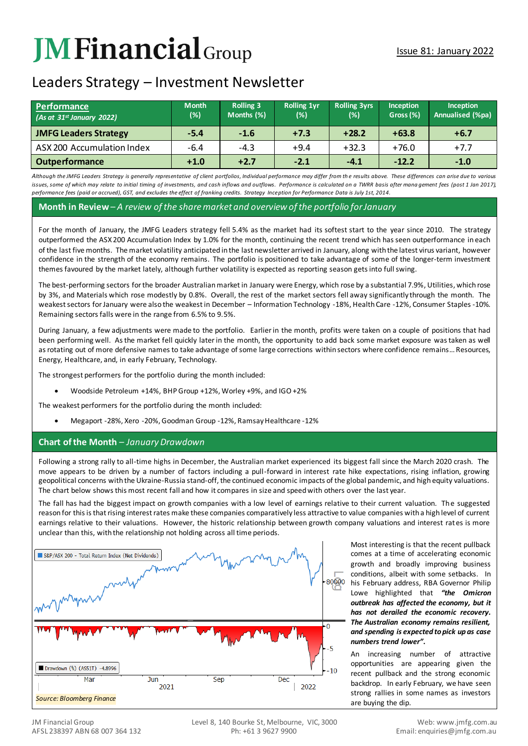# **JM Financial** Group

# Leaders Strategy – Investment Newsletter

| <b>Performance</b><br>(As at 31st January 2022) | <b>Month</b><br>(%) | <b>Rolling 3</b><br>Months (%) | <b>Rolling 1yr</b><br>(%) | <b>Rolling 3yrs</b><br>(%) | <b>Inception</b><br>Gross (%) | <b>Inception</b><br>Annualised (%pa) |
|-------------------------------------------------|---------------------|--------------------------------|---------------------------|----------------------------|-------------------------------|--------------------------------------|
| <b>JMFG Leaders Strategy</b>                    | $-5.4$              | $-1.6$                         | $+7.3$                    | $+28.2$                    | $+63.8$                       | $+6.7$                               |
| ASX 200 Accumulation Index                      | $-6.4$              | $-4.3$                         | $+9.4$                    | $+32.3$                    | $+76.0$                       | $+7.7$                               |
| <b>Outperformance</b>                           | $+1.0$              | $+2.7$                         | $-2.1$                    | $-4.1$                     | $-12.2$                       | $-1.0$                               |

Although the JMFG Leaders Strategy is generally representative of client portfolios, Individual performance may differ from the results above. These differences can arise due to various issues, some of which may relate to initial timing of investments, and cash inflows and outflows. Performance is calculated on a TWRR basis after mana aement fees (post 1 Jan 2017). *performance fees (paid or accrued), GST, and excludes the effect of franking credits. Strategy Inception for Performance Data is July 1st, 2014.*

#### **Month in Review***– A review of the share market and overview of the portfolio for January*

For the month of January, the JMFG Leaders strategy fell 5.4% as the market had its softest start to the year since 2010. The strategy outperformed the ASX 200 Accumulation Index by 1.0% for the month, continuing the recent trend which has seen outperformance in each of the last five months. The market volatility anticipated in the last newsletter arrived in January, along with the latest virus variant, however confidence in the strength of the economy remains. The portfolio is positioned to take advantage of some of the longer-term investment themes favoured by the market lately, although further volatility is expected as reporting season gets into full swing.

The best-performing sectors for the broader Australian market in January were Energy, which rose by a substantial 7.9%, Utilities, which rose by 3%, and Materials which rose modestly by 0.8%. Overall, the rest of the market sectors fell away significantly through the month. The weakest sectors for January were also the weakest in December – Information Technology -18%, Health Care -12%, Consumer Staples -10%. Remaining sectors falls were in the range from 6.5% to 9.5%.

During January, a few adjustments were made to the portfolio. Earlier in the month, profits were taken on a couple of positions that had been performing well. As the market fell quickly later in the month, the opportunity to add back some market exposure was taken as well as rotating out of more defensive names to take advantage of some large corrections within sectors where confidence remains…Resources, Energy, Healthcare, and, in early February, Technology.

The strongest performers for the portfolio during the month included:

• Woodside Petroleum +14%, BHP Group +12%, Worley +9%, and IGO +2%

The weakest performers for the portfolio during the month included:

• Megaport -28%, Xero -20%, Goodman Group -12%, Ramsay Healthcare -12%

## **Chart of the Month** *– January Drawdown*

Following a strong rally to all-time highs in December, the Australian market experienced its biggest fall since the March 2020 crash. The move appears to be driven by a number of factors including a pull-forward in interest rate hike expectations, rising inflation, growing geopolitical concerns with the Ukraine-Russia stand-off, the continued economic impacts of the global pandemic, and high equity valuations. The chart below shows this most recent fall and how it compares in size and speed with others over the last year.

The fall has had the biggest impact on growth companies with a low level of earnings relative to their current valuation. The suggested reason for this is that rising interest rates make these companies comparatively less attractive to value companies with a high level of current earnings relative to their valuations. However, the historic relationship between growth company valuations and interest rates is more unclear than this, with the relationship not holding across all time periods.



Most interesting is that the recent pullback comes at a time of accelerating economic growth and broadly improving business conditions, albeit with some setbacks. In his February address, RBA Governor Philip Lowe highlighted that *"the Omicron outbreak has affected the economy, but it has not derailed the economic recovery. The Australian economy remains resilient, and spending is expected to pick up as case numbers trend lower"***.** 

An increasing number of attractive opportunities are appearing given the recent pullback and the strong economic backdrop. In early February, we have seen strong rallies in some names as investors